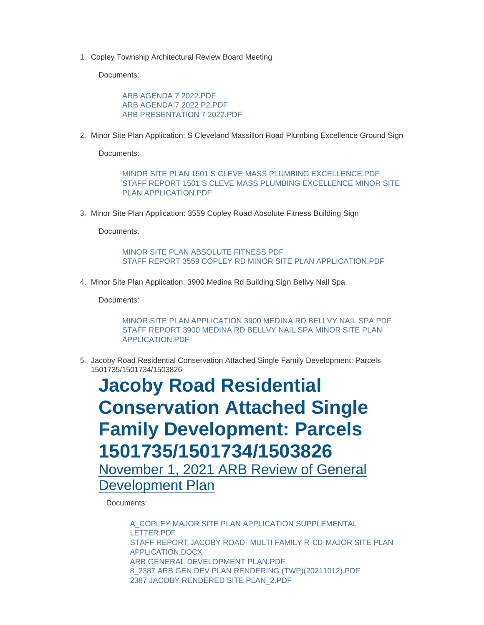1. Copley Township Architectural Review Board Meeting

Documents:

[ARB AGENDA 7 2022.PDF](https://www.copley.oh.us/AgendaCenter/ViewFile/Item/753?fileID=9246) [ARB AGENDA 7 2022 P2.PDF](https://www.copley.oh.us/AgendaCenter/ViewFile/Item/753?fileID=9135) [ARB PRESENTATION 7 2022.PDF](https://www.copley.oh.us/AgendaCenter/ViewFile/Item/753?fileID=9249)

2. Minor Site Plan Application: S Cleveland Massillon Road Plumbing Excellence Ground Sign

Documents:

[MINOR SITE PLAN 1501 S CLEVE MASS PLUMBING EXCELLENCE.PDF](https://www.copley.oh.us/AgendaCenter/ViewFile/Item/763?fileID=9141) [STAFF REPORT 1501 S CLEVE MASS PLUMBING EXCELLENCE MINOR SITE](https://www.copley.oh.us/AgendaCenter/ViewFile/Item/763?fileID=9142)  PLAN APPLICATION.PDF

3. Minor Site Plan Application: 3559 Copley Road Absolute Fitness Building Sign

Documents:

[MINOR SITE PLAN ABSOLUTE FITNESS.PDF](https://www.copley.oh.us/AgendaCenter/ViewFile/Item/764?fileID=9248) [STAFF REPORT 3559 COPLEY RD MINOR SITE PLAN APPLICATION.PDF](https://www.copley.oh.us/AgendaCenter/ViewFile/Item/764?fileID=9247)

4. Minor Site Plan Application: 3900 Medina Rd Building Sign Bellvy Nail Spa

Documents:

[MINOR SITE PLAN APPLICATION 3900 MEDINA RD BELLVY NAIL SPA.PDF](https://www.copley.oh.us/AgendaCenter/ViewFile/Item/765?fileID=9144) [STAFF REPORT 3900 MEDINA RD BELLVY NAIL SPA MINOR SITE PLAN](https://www.copley.oh.us/AgendaCenter/ViewFile/Item/765?fileID=9145)  APPLICATION.PDF

5. Jacoby Road Residential Conservation Attached Single Family Development: Parcels 1501735/1501734/1503826

**Jacoby Road Residential Conservation Attached Single Family Development: Parcels 1501735/1501734/1503826** November 1, 2021 ARB Review of General Development Plan

Documents:

A\_COPLEY MAJOR SITE PLAN APPLICATION SUPPLEMENTAL LETTER.PDF [STAFF REPORT JACOBY ROAD- MULTI FAMILY R-CD-MAJOR SITE PLAN](https://www.copley.oh.us/AgendaCenter/ViewFile/Item/668?fileID=8830)  APPLICATION.DOCX [ARB GENERAL DEVELOPMENT PLAN.PDF](https://www.copley.oh.us/AgendaCenter/ViewFile/Item/668?fileID=8797) [8\\_2387 ARB GEN DEV PLAN RENDERING \(TWP\)\(20211012\).PDF](https://www.copley.oh.us/AgendaCenter/ViewFile/Item/668?fileID=8802) [2387 JACOBY RENDERED SITE PLAN\\_2.PDF](https://www.copley.oh.us/AgendaCenter/ViewFile/Item/668?fileID=8803)